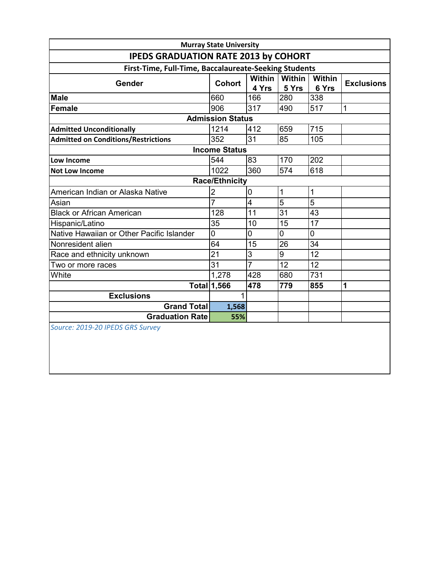| <b>IPEDS GRADUATION RATE 2013 by COHORT</b>           |                       |                   |                  |                        |                   |  |  |  |  |
|-------------------------------------------------------|-----------------------|-------------------|------------------|------------------------|-------------------|--|--|--|--|
| First-Time, Full-Time, Baccalaureate-Seeking Students |                       |                   |                  |                        |                   |  |  |  |  |
| Gender                                                | <b>Cohort</b>         | Within I<br>4 Yrs | Within<br>5 Yrs  | <b>Within</b><br>6 Yrs | <b>Exclusions</b> |  |  |  |  |
| <b>Male</b>                                           | 660                   | 166               | 280              | 338                    |                   |  |  |  |  |
| Female                                                | 906                   | 317               | 490              | 517                    | 1                 |  |  |  |  |
| <b>Admission Status</b>                               |                       |                   |                  |                        |                   |  |  |  |  |
| <b>Admitted Unconditionally</b>                       | 1214                  | 412               | 659              | 715                    |                   |  |  |  |  |
| <b>Admitted on Conditions/Restrictions</b>            | 352                   | 31                | 85               | 105                    |                   |  |  |  |  |
| <b>Income Status</b>                                  |                       |                   |                  |                        |                   |  |  |  |  |
| Low Income                                            | 544                   | 83                | 170              | 202                    |                   |  |  |  |  |
| <b>Not Low Income</b>                                 | 1022                  | 360               | $\overline{574}$ | 618                    |                   |  |  |  |  |
|                                                       | <b>Race/Ethnicity</b> |                   |                  |                        |                   |  |  |  |  |
| American Indian or Alaska Native                      | $\overline{2}$        | $\mathbf 0$       | 1                | 1                      |                   |  |  |  |  |
| Asian                                                 | 7                     | $\overline{4}$    | 5                | 5                      |                   |  |  |  |  |
| <b>Black or African American</b>                      | 128                   | 11                | $\overline{31}$  | 43                     |                   |  |  |  |  |
| Hispanic/Latino                                       | 35                    | 10                | 15               | 17                     |                   |  |  |  |  |
| Native Hawaiian or Other Pacific Islander             | 0                     | 0                 | $\overline{0}$   | 0                      |                   |  |  |  |  |
| Nonresident alien                                     | 64                    | 15                | $\overline{26}$  | 34                     |                   |  |  |  |  |
| Race and ethnicity unknown                            | $\overline{21}$       | $\overline{3}$    | $\overline{9}$   | 12                     |                   |  |  |  |  |
| Two or more races                                     | 31                    | $\overline{7}$    | 12               | 12                     |                   |  |  |  |  |
| White                                                 | 1,278                 | 428               | 680              | 731                    |                   |  |  |  |  |
|                                                       | Total 1,566           | 478               | 779              | 855                    | 1                 |  |  |  |  |
| <b>Exclusions</b>                                     | 1                     |                   |                  |                        |                   |  |  |  |  |
| <b>Grand Total</b>                                    | 1,568                 |                   |                  |                        |                   |  |  |  |  |
| <b>Graduation Rate</b>                                | 55%                   |                   |                  |                        |                   |  |  |  |  |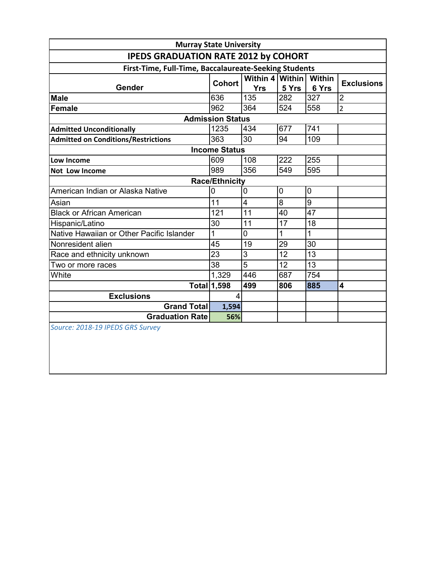| First-Time, Full-Time, Baccalaureate-Seeking Students |                |                        |                        |                 |                         |  |  |  |
|-------------------------------------------------------|----------------|------------------------|------------------------|-----------------|-------------------------|--|--|--|
| Gender                                                | <b>Cohort</b>  | Within 4<br><b>Yrs</b> | <b>Within</b><br>5 Yrs | Within<br>6 Yrs | <b>Exclusions</b>       |  |  |  |
| <b>Male</b>                                           | 636            | 135                    | 282                    | 327             | $\overline{2}$          |  |  |  |
| Female                                                | 962            | 364                    | 524                    | 558             | $\overline{2}$          |  |  |  |
| <b>Admission Status</b>                               |                |                        |                        |                 |                         |  |  |  |
| <b>Admitted Unconditionally</b>                       | 1235           | 434                    | 677                    | 741             |                         |  |  |  |
| <b>Admitted on Conditions/Restrictions</b>            | 363            | 30                     | 94                     | 109             |                         |  |  |  |
| <b>Income Status</b>                                  |                |                        |                        |                 |                         |  |  |  |
| Low Income                                            | 609            | 108                    | 222                    | 255             |                         |  |  |  |
| Not Low Income                                        | 989            | 356                    | 549                    | 595             |                         |  |  |  |
| <b>Race/Ethnicity</b>                                 |                |                        |                        |                 |                         |  |  |  |
| American Indian or Alaska Native                      | $\overline{0}$ | $\overline{0}$         | 0                      | $\mathbf 0$     |                         |  |  |  |
| Asian                                                 | 11             | $\overline{4}$         | 8                      | 9               |                         |  |  |  |
| <b>Black or African American</b>                      | 121            | 11                     | 40                     | 47              |                         |  |  |  |
| Hispanic/Latino                                       | 30             | 11                     | 17                     | 18              |                         |  |  |  |
| Native Hawaiian or Other Pacific Islander             | 1              | $\overline{0}$         | 1                      | 1               |                         |  |  |  |
| Nonresident alien                                     | 45             | 19                     | 29                     | 30              |                         |  |  |  |
| Race and ethnicity unknown                            | 23             | 3                      | 12                     | 13              |                         |  |  |  |
| Two or more races                                     | 38             | $\overline{5}$         | 12                     | 13              |                         |  |  |  |
| White                                                 | 1,329          | 446                    | 687                    | 754             |                         |  |  |  |
|                                                       | Total 1,598    | 499                    | 806                    | 885             | $\overline{\mathbf{4}}$ |  |  |  |
| <b>Exclusions</b>                                     | 4              |                        |                        |                 |                         |  |  |  |
| <b>Grand Total</b>                                    | 1,594          |                        |                        |                 |                         |  |  |  |
| <b>Graduation Rate</b>                                | 56%            |                        |                        |                 |                         |  |  |  |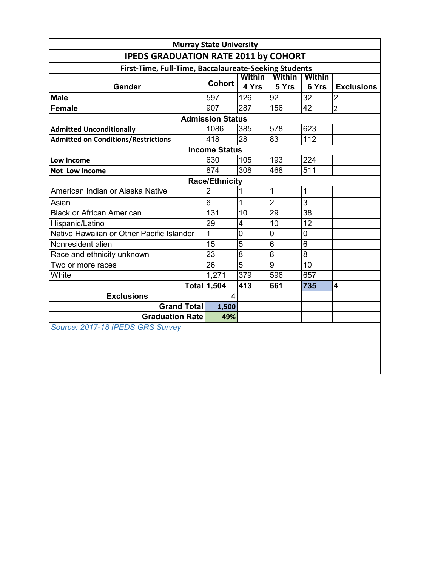| <b>Murray State University</b>                        |                    |                |                |              |                   |  |  |  |
|-------------------------------------------------------|--------------------|----------------|----------------|--------------|-------------------|--|--|--|
| <b>IPEDS GRADUATION RATE 2011 by COHORT</b>           |                    |                |                |              |                   |  |  |  |
| First-Time, Full-Time, Baccalaureate-Seeking Students |                    |                |                |              |                   |  |  |  |
|                                                       | <b>Cohort</b>      | <b>Within</b>  | <b>Within</b>  | Within       |                   |  |  |  |
| Gender                                                |                    | 4 Yrs          | 5 Yrs          | 6 Yrs        | <b>Exclusions</b> |  |  |  |
| <b>Male</b>                                           | 597                | 126            | 92             | 32           | $\overline{2}$    |  |  |  |
| Female                                                | 907                | 287            | 156            | 42           | $\overline{2}$    |  |  |  |
| <b>Admission Status</b>                               |                    |                |                |              |                   |  |  |  |
| <b>Admitted Unconditionally</b>                       | 1086               | 385            | 578            | 623          |                   |  |  |  |
| <b>Admitted on Conditions/Restrictions</b>            | 418                | 28             | 83             | 112          |                   |  |  |  |
| <b>Income Status</b>                                  |                    |                |                |              |                   |  |  |  |
| Low Income                                            | 630                | 105            | 193            | 224          |                   |  |  |  |
| Not Low Income                                        | 874                | 308            | 468            | 511          |                   |  |  |  |
| <b>Race/Ethnicity</b>                                 |                    |                |                |              |                   |  |  |  |
| American Indian or Alaska Native                      | $\overline{2}$     | $\overline{1}$ | $\mathbf{1}$   | $\mathbf{1}$ |                   |  |  |  |
| Asian                                                 | 6                  | 1              | $\overline{2}$ | 3            |                   |  |  |  |
| <b>Black or African American</b>                      | 131                | 10             | 29             | 38           |                   |  |  |  |
| Hispanic/Latino                                       | 29                 | 4              | 10             | 12           |                   |  |  |  |
| Native Hawaiian or Other Pacific Islander             | 1                  | 0              | 0              | $\mathbf 0$  |                   |  |  |  |
| Nonresident alien                                     | 15                 | $\overline{5}$ | $\overline{6}$ | 6            |                   |  |  |  |
| Race and ethnicity unknown                            | 23                 | 8              | 8              | 8            |                   |  |  |  |
| Two or more races                                     | 26                 | $\overline{5}$ | 9              | 10           |                   |  |  |  |
| White                                                 | 1,271              | 379            | 596            | 657          |                   |  |  |  |
|                                                       | <b>Total 1,504</b> | 413            | 661            | 735          | 4                 |  |  |  |
| <b>Exclusions</b>                                     | 4                  |                |                |              |                   |  |  |  |
| <b>Grand Total</b>                                    | 1,500              |                |                |              |                   |  |  |  |
| <b>Graduation Ratel</b>                               | 49%                |                |                |              |                   |  |  |  |
| Source: 2017-18 IPEDS GRS Survey                      |                    |                |                |              |                   |  |  |  |
|                                                       |                    |                |                |              |                   |  |  |  |
|                                                       |                    |                |                |              |                   |  |  |  |
|                                                       |                    |                |                |              |                   |  |  |  |
|                                                       |                    |                |                |              |                   |  |  |  |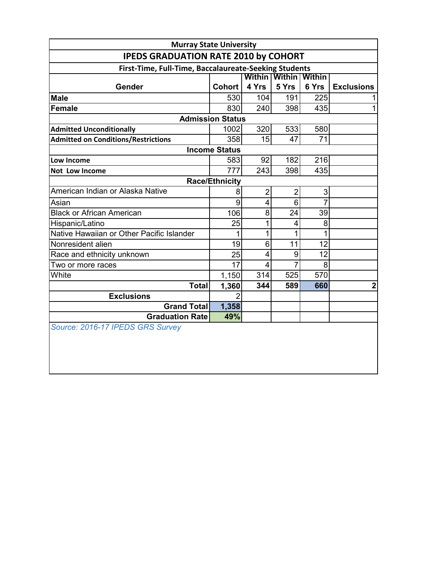| <b>Murray State University</b>                        |                             |                |                |                |                   |  |  |
|-------------------------------------------------------|-----------------------------|----------------|----------------|----------------|-------------------|--|--|
| <b>IPEDS GRADUATION RATE 2010 by COHORT</b>           |                             |                |                |                |                   |  |  |
| First-Time, Full-Time, Baccalaureate-Seeking Students |                             |                |                |                |                   |  |  |
|                                                       | Within I Within I<br>Within |                |                |                |                   |  |  |
| Gender                                                | <b>Cohort</b>               | 4 Yrs          | 5 Yrs          | 6 Yrs          | <b>Exclusions</b> |  |  |
| <b>Male</b>                                           | 530                         | 104            | 191            | 225            |                   |  |  |
| Female                                                | 830                         | 240            | 398            | 435            | $\mathbf{1}$      |  |  |
|                                                       | <b>Admission Status</b>     |                |                |                |                   |  |  |
| <b>Admitted Unconditionally</b>                       | 1002                        | 320            | 533            | 580            |                   |  |  |
| <b>Admitted on Conditions/Restrictions</b>            | 358                         | 15             | 47             | 71             |                   |  |  |
|                                                       | <b>Income Status</b>        |                |                |                |                   |  |  |
| Low Income                                            | 583                         | 92             | 182            | 216            |                   |  |  |
| Not Low Income                                        | 777                         | 243            | 398            | 435            |                   |  |  |
|                                                       | <b>Race/Ethnicity</b>       |                |                |                |                   |  |  |
| American Indian or Alaska Native                      | 8                           | $\overline{2}$ | $\overline{2}$ | $\overline{3}$ |                   |  |  |
| Asian                                                 | $\overline{9}$              | 4              | 6              | $\overline{7}$ |                   |  |  |
| <b>Black or African American</b>                      | 106                         | 8              | 24             | 39             |                   |  |  |
| Hispanic/Latino                                       | 25                          | 1              | 4              | 8 <sup>°</sup> |                   |  |  |
| Native Hawaiian or Other Pacific Islander             | $\mathbf{1}$                | 1              | 1              | 1              |                   |  |  |
| Nonresident alien                                     | 19                          | 6              | 11             | 12             |                   |  |  |
| Race and ethnicity unknown                            | 25                          | 4              | 9              | 12             |                   |  |  |
| Two or more races                                     | 17                          | 4              | $\overline{7}$ | 8              |                   |  |  |
| White                                                 | 1,150                       | 314            | 525            | 570            |                   |  |  |
| <b>Total</b>                                          | 1,360                       | 344            | 589            | 660            | $\boldsymbol{2}$  |  |  |
| <b>Exclusions</b>                                     | $\overline{2}$              |                |                |                |                   |  |  |
| <b>Grand Totall</b>                                   | 1,358                       |                |                |                |                   |  |  |
| <b>Graduation Ratel</b>                               | 49%                         |                |                |                |                   |  |  |
| Source: 2016-17 IPEDS GRS Survey                      |                             |                |                |                |                   |  |  |
|                                                       |                             |                |                |                |                   |  |  |
|                                                       |                             |                |                |                |                   |  |  |
|                                                       |                             |                |                |                |                   |  |  |
|                                                       |                             |                |                |                |                   |  |  |